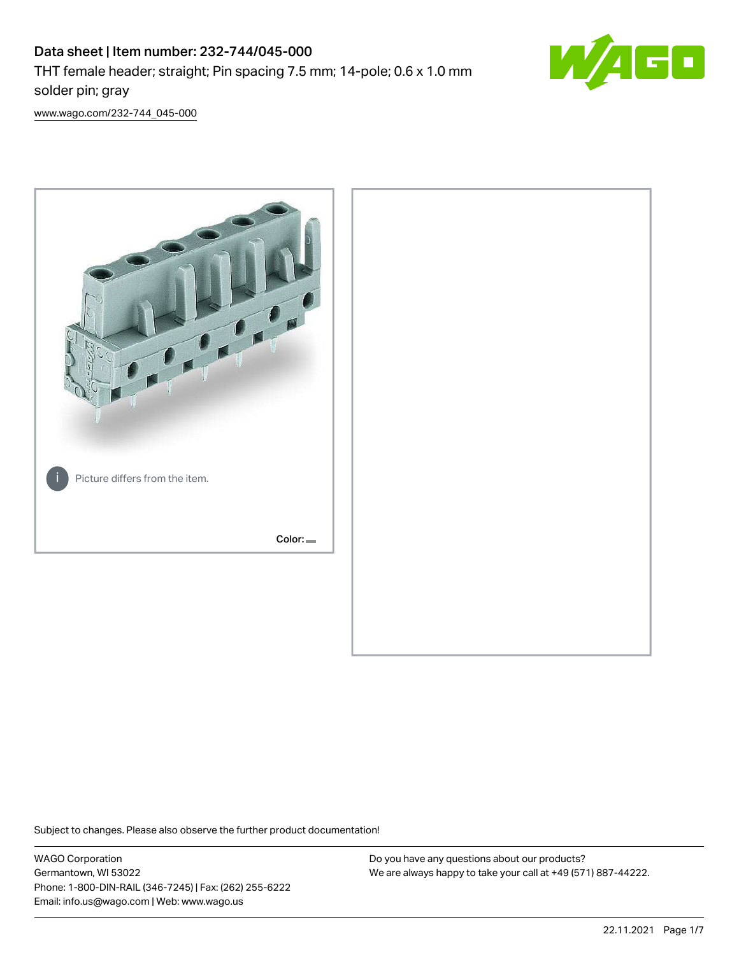

[www.wago.com/232-744\\_045-000](http://www.wago.com/232-744_045-000)



Subject to changes. Please also observe the further product documentation!

WAGO Corporation Germantown, WI 53022 Phone: 1-800-DIN-RAIL (346-7245) | Fax: (262) 255-6222 Email: info.us@wago.com | Web: www.wago.us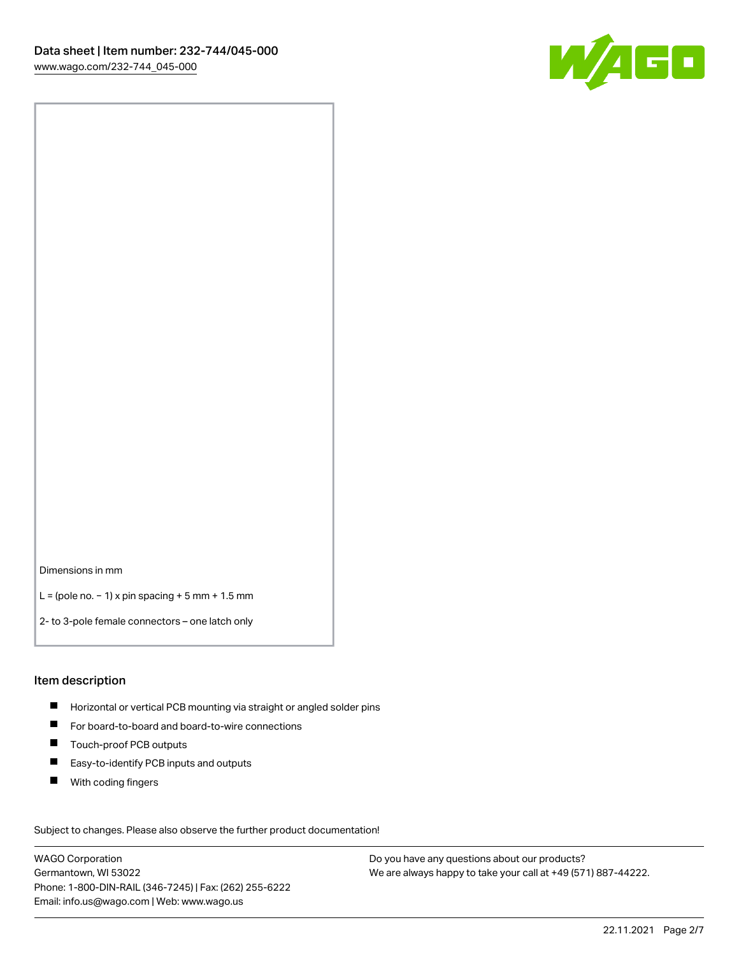

Dimensions in mm

L = (pole no. − 1) x pin spacing + 5 mm + 1.5 mm

2- to 3-pole female connectors – one latch only

### Item description

- **H** Horizontal or vertical PCB mounting via straight or angled solder pins
- For board-to-board and board-to-wire connections
- Touch-proof PCB outputs  $\blacksquare$
- $\blacksquare$ Easy-to-identify PCB inputs and outputs
- $\blacksquare$ With coding fingers

Subject to changes. Please also observe the further product documentation! Data

WAGO Corporation Germantown, WI 53022 Phone: 1-800-DIN-RAIL (346-7245) | Fax: (262) 255-6222 Email: info.us@wago.com | Web: www.wago.us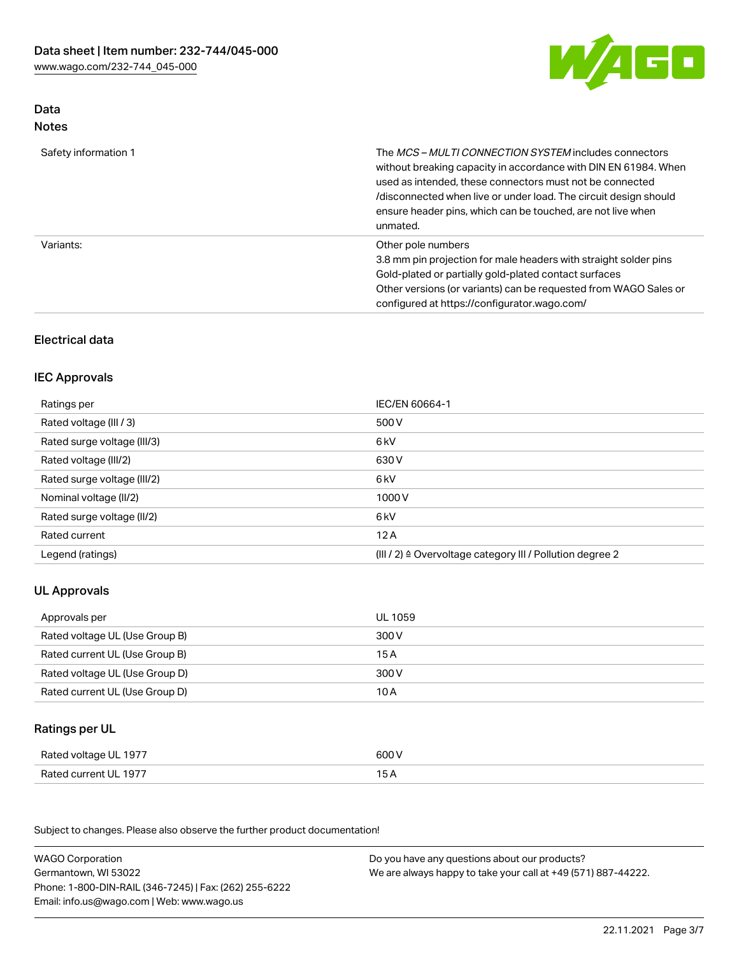W/AGO

## Data Notes

| Safety information 1 | The <i>MCS – MULTI CONNECTION SYSTEM</i> includes connectors<br>without breaking capacity in accordance with DIN EN 61984. When<br>used as intended, these connectors must not be connected<br>/disconnected when live or under load. The circuit design should<br>ensure header pins, which can be touched, are not live when<br>unmated. |
|----------------------|--------------------------------------------------------------------------------------------------------------------------------------------------------------------------------------------------------------------------------------------------------------------------------------------------------------------------------------------|
| Variants:            | Other pole numbers<br>3.8 mm pin projection for male headers with straight solder pins<br>Gold-plated or partially gold-plated contact surfaces<br>Other versions (or variants) can be requested from WAGO Sales or<br>configured at https://configurator.wago.com/                                                                        |

## Electrical data

### IEC Approvals

| Ratings per                 | IEC/EN 60664-1                                                       |
|-----------------------------|----------------------------------------------------------------------|
| Rated voltage (III / 3)     | 500 V                                                                |
| Rated surge voltage (III/3) | 6 <sub>k</sub> V                                                     |
| Rated voltage (III/2)       | 630 V                                                                |
| Rated surge voltage (III/2) | 6 <sub>kV</sub>                                                      |
| Nominal voltage (II/2)      | 1000V                                                                |
| Rated surge voltage (II/2)  | 6 <sub>k</sub> V                                                     |
| Rated current               | 12A                                                                  |
| Legend (ratings)            | (III / 2) $\triangleq$ Overvoltage category III / Pollution degree 2 |

## UL Approvals

| Approvals per                  | UL 1059 |
|--------------------------------|---------|
| Rated voltage UL (Use Group B) | 300 V   |
| Rated current UL (Use Group B) | 15 A    |
| Rated voltage UL (Use Group D) | 300 V   |
| Rated current UL (Use Group D) | 10 A    |

# Ratings per UL

| Rated voltage UL 1977 | 600 V |
|-----------------------|-------|
| Rated current UL 1977 |       |

Subject to changes. Please also observe the further product documentation!

| <b>WAGO Corporation</b>                                | Do you have any questions about our products?                 |
|--------------------------------------------------------|---------------------------------------------------------------|
| Germantown, WI 53022                                   | We are always happy to take your call at +49 (571) 887-44222. |
| Phone: 1-800-DIN-RAIL (346-7245)   Fax: (262) 255-6222 |                                                               |
| Email: info.us@wago.com   Web: www.wago.us             |                                                               |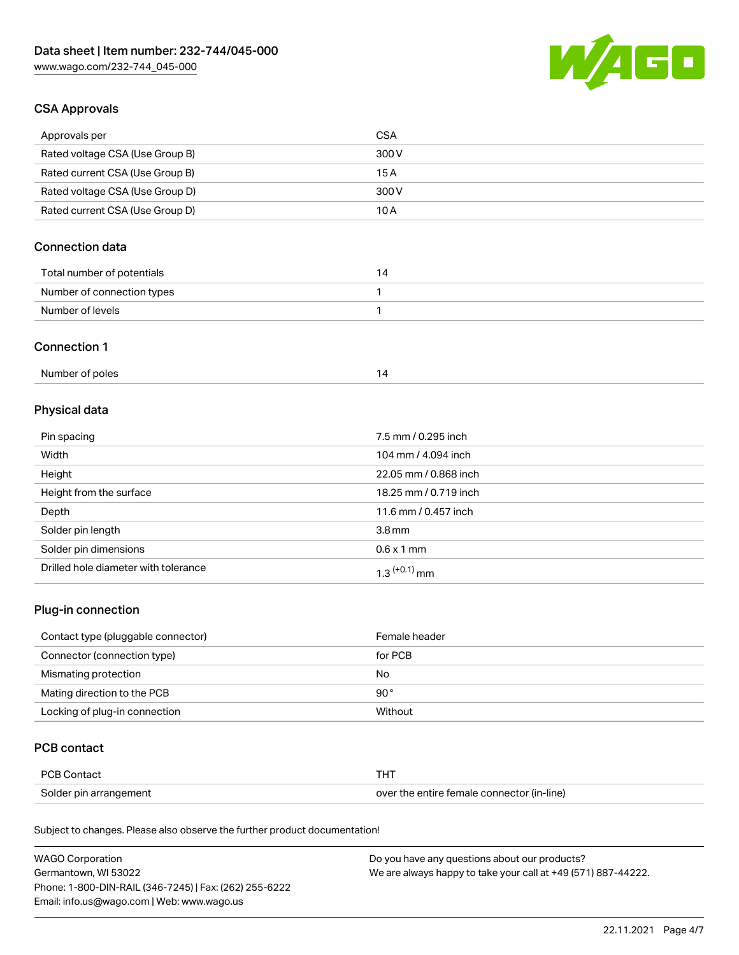

## CSA Approvals

| Approvals per                   | CSA   |
|---------------------------------|-------|
| Rated voltage CSA (Use Group B) | 300 V |
| Rated current CSA (Use Group B) | 15 A  |
| Rated voltage CSA (Use Group D) | 300 V |
| Rated current CSA (Use Group D) | 10 A  |

## Connection data

| Total number of potentials |  |
|----------------------------|--|
| Number of connection types |  |
| Number of levels           |  |

### Connection 1

| Number of poles |  |
|-----------------|--|
|                 |  |

# Physical data

| Pin spacing                          | 7.5 mm / 0.295 inch   |
|--------------------------------------|-----------------------|
| Width                                | 104 mm / 4.094 inch   |
| Height                               | 22.05 mm / 0.868 inch |
| Height from the surface              | 18.25 mm / 0.719 inch |
| Depth                                | 11.6 mm / 0.457 inch  |
| Solder pin length                    | 3.8 <sub>mm</sub>     |
| Solder pin dimensions                | $0.6 \times 1$ mm     |
| Drilled hole diameter with tolerance | $1.3$ $(+0.1)$ mm     |

## Plug-in connection

| Contact type (pluggable connector) | Female header |
|------------------------------------|---------------|
| Connector (connection type)        | for PCB       |
| Mismating protection               | No            |
| Mating direction to the PCB        | $90^{\circ}$  |
| Locking of plug-in connection      | Without       |

### PCB contact

| PCB Contact            | THT                                        |
|------------------------|--------------------------------------------|
| Solder pin arrangement | over the entire female connector (in-line) |

Subject to changes. Please also observe the further product documentation!

| <b>WAGO Corporation</b>                                | Do you have any questions about our products?                 |
|--------------------------------------------------------|---------------------------------------------------------------|
| Germantown, WI 53022                                   | We are always happy to take your call at +49 (571) 887-44222. |
| Phone: 1-800-DIN-RAIL (346-7245)   Fax: (262) 255-6222 |                                                               |
| Email: info.us@wago.com   Web: www.wago.us             |                                                               |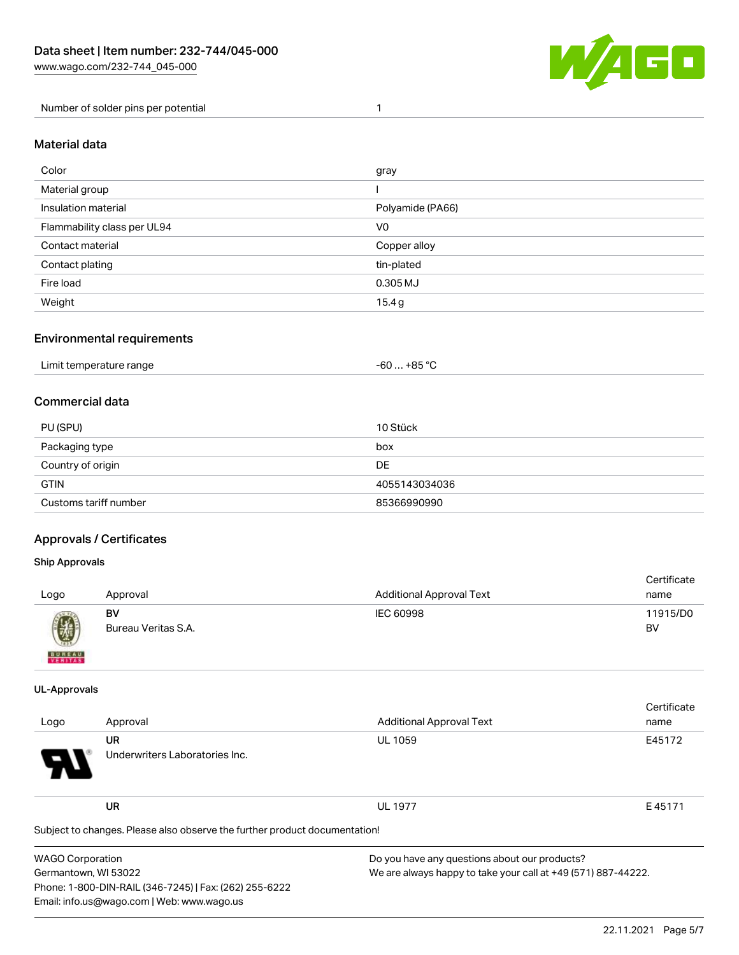

Number of solder pins per potential 1

#### Material data

| Color                       | gray             |
|-----------------------------|------------------|
| Material group              |                  |
| Insulation material         | Polyamide (PA66) |
| Flammability class per UL94 | V0               |
| Contact material            | Copper alloy     |
| Contact plating             | tin-plated       |
| Fire load                   | 0.305 MJ         |
| Weight                      | 15.4 g           |

### Environmental requirements

| Limit temperature range<br>. | . +85 °Ր<br>-60 |  |
|------------------------------|-----------------|--|
|------------------------------|-----------------|--|

### Commercial data

| PU (SPU)              | 10 Stück      |
|-----------------------|---------------|
| Packaging type        | box           |
| Country of origin     | <b>DE</b>     |
| <b>GTIN</b>           | 4055143034036 |
| Customs tariff number | 85366990990   |

### Approvals / Certificates

#### Ship Approvals

| Logo                                                                                                                                                                                                                                                                                                                                                                                                                                                                                | Approval                  | <b>Additional Approval Text</b> | Certificate<br>name |
|-------------------------------------------------------------------------------------------------------------------------------------------------------------------------------------------------------------------------------------------------------------------------------------------------------------------------------------------------------------------------------------------------------------------------------------------------------------------------------------|---------------------------|---------------------------------|---------------------|
| $\bigcirc\!\!\!\!\! \bigcirc\!\!\!\!\! \bigcirc\!\!\!\!\! \bigcirc\!\!\!\!\! \bigcirc\!\!\!\!\! \bigcirc\!\!\!\!\! \bigcirc\!\!\!\!\! \bigcirc\!\!\!\!\! \bigcirc\!\!\!\!\! \bigcirc\!\!\!\!\! \bigcirc\!\!\!\!\! \bigcirc\!\!\!\!\! \bigcirc\!\!\!\!\! \bigcirc\!\!\!\!\! \bigcirc\!\!\!\!\! \bigcirc\!\!\!\!\! \bigcirc\!\!\!\!\! \bigcirc\!\!\!\!\! \bigcirc\!\!\!\!\! \bigcirc\!\!\!\!\! \bigcirc\!\!\!\!\! \bigcirc\!\!\!\!\! \bigcirc\!\!\!\!\! \bigcirc\!\!\!\!\! \bigcirc\$ | BV<br>Bureau Veritas S.A. | IEC 60998                       | 11915/D0<br>BV      |
| <b>BUNEAU</b>                                                                                                                                                                                                                                                                                                                                                                                                                                                                       |                           |                                 |                     |

#### UL-Approvals

| Logo                                                                       | Approval                             | Additional Approval Text                      | Certificate<br>name |
|----------------------------------------------------------------------------|--------------------------------------|-----------------------------------------------|---------------------|
| $\boldsymbol{\theta}$                                                      | UR<br>Underwriters Laboratories Inc. | <b>UL 1059</b>                                | E45172              |
|                                                                            | <b>UR</b>                            | <b>UL 1977</b>                                | E45171              |
| Subject to changes. Please also observe the further product documentation! |                                      |                                               |                     |
| WAGO Corporation                                                           |                                      | Do you have any questions about our products? |                     |

Germantown, WI 53022 Phone: 1-800-DIN-RAIL (346-7245) | Fax: (262) 255-6222

Email: info.us@wago.com | Web: www.wago.us

We are always happy to take your call at +49 (571) 887-44222.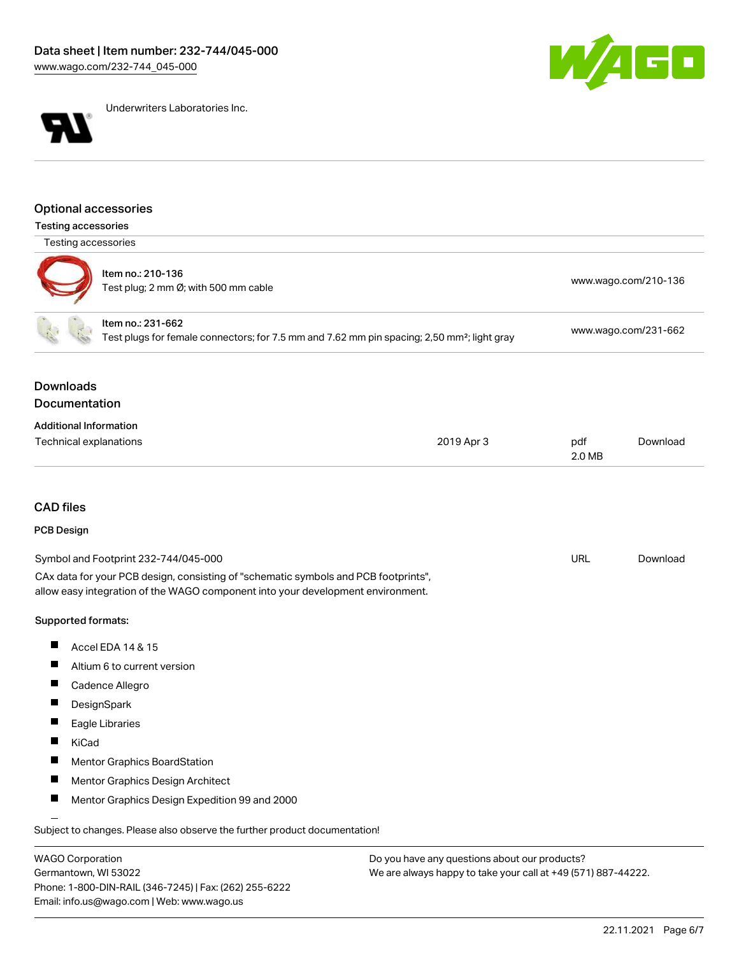



Underwriters Laboratories Inc.

### Optional accessories

Testing accessories

| Testing accessories                                                                                                                                                    |                                                                            |            |                      |                      |  |
|------------------------------------------------------------------------------------------------------------------------------------------------------------------------|----------------------------------------------------------------------------|------------|----------------------|----------------------|--|
|                                                                                                                                                                        | Item no.: 210-136<br>Test plug; 2 mm Ø; with 500 mm cable                  |            |                      | www.wago.com/210-136 |  |
| Item no.: 231-662<br>Test plugs for female connectors; for 7.5 mm and 7.62 mm pin spacing; 2,50 mm <sup>2</sup> ; light gray                                           |                                                                            |            | www.wago.com/231-662 |                      |  |
| <b>Downloads</b><br>Documentation                                                                                                                                      |                                                                            |            |                      |                      |  |
| <b>Additional Information</b><br>Technical explanations                                                                                                                |                                                                            | 2019 Apr 3 | pdf<br>2.0 MB        | Download             |  |
| <b>CAD</b> files                                                                                                                                                       |                                                                            |            |                      |                      |  |
| PCB Design                                                                                                                                                             |                                                                            |            |                      |                      |  |
|                                                                                                                                                                        | Symbol and Footprint 232-744/045-000                                       |            | <b>URL</b>           | Download             |  |
| CAx data for your PCB design, consisting of "schematic symbols and PCB footprints",<br>allow easy integration of the WAGO component into your development environment. |                                                                            |            |                      |                      |  |
| Supported formats:                                                                                                                                                     |                                                                            |            |                      |                      |  |
| H                                                                                                                                                                      | Accel EDA 14 & 15                                                          |            |                      |                      |  |
|                                                                                                                                                                        | Altium 6 to current version                                                |            |                      |                      |  |
| П                                                                                                                                                                      | Cadence Allegro                                                            |            |                      |                      |  |
|                                                                                                                                                                        | DesignSpark                                                                |            |                      |                      |  |
|                                                                                                                                                                        | Eagle Libraries                                                            |            |                      |                      |  |
| H.<br>KiCad                                                                                                                                                            |                                                                            |            |                      |                      |  |
|                                                                                                                                                                        | Mentor Graphics BoardStation                                               |            |                      |                      |  |
| <b>The State</b>                                                                                                                                                       | Mentor Graphics Design Architect                                           |            |                      |                      |  |
| ш                                                                                                                                                                      | Mentor Graphics Design Expedition 99 and 2000                              |            |                      |                      |  |
|                                                                                                                                                                        | Subject to changes. Please also observe the further product documentation! |            |                      |                      |  |